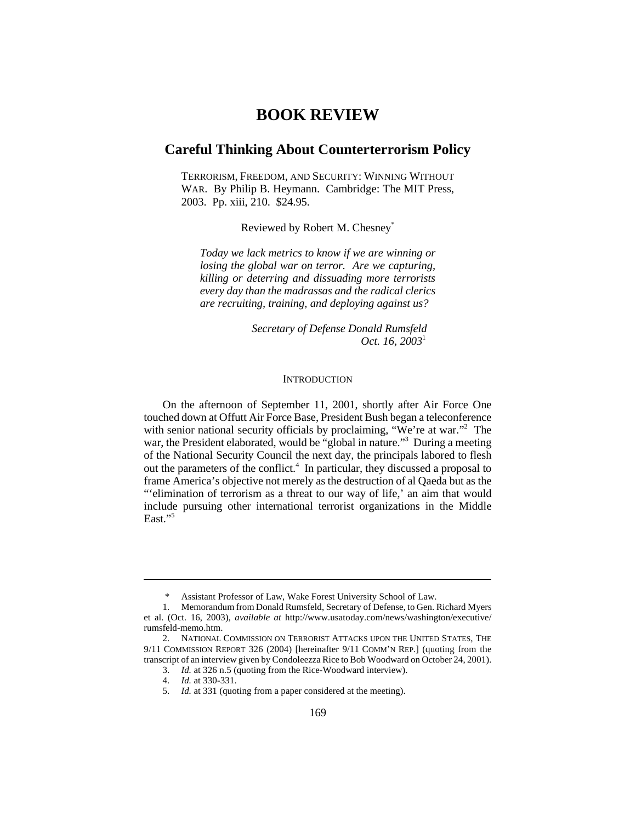# **BOOK REVIEW**

# **Careful Thinking About Counterterrorism Policy**

TERRORISM, FREEDOM, AND SECURITY: WINNING WITHOUT WAR. By Philip B. Heymann. Cambridge: The MIT Press, 2003. Pp. xiii, 210. \$24.95.

Reviewed by Robert M. Chesney\*

*Today we lack metrics to know if we are winning or losing the global war on terror. Are we capturing, killing or deterring and dissuading more terrorists every day than the madrassas and the radical clerics are recruiting, training, and deploying against us?*

> *Secretary of Defense Donald Rumsfeld Oct.* 16, 2003<sup>1</sup>

#### **INTRODUCTION**

On the afternoon of September 11, 2001, shortly after Air Force One touched down at Offutt Air Force Base, President Bush began a teleconference with senior national security officials by proclaiming, "We're at war."<sup>2</sup> The war, the President elaborated, would be "global in nature."<sup>3</sup> During a meeting of the National Security Council the next day, the principals labored to flesh out the parameters of the conflict.<sup>4</sup> In particular, they discussed a proposal to frame America's objective not merely as the destruction of al Qaeda but as the "'elimination of terrorism as a threat to our way of life,' an aim that would include pursuing other international terrorist organizations in the Middle East."<sup>5</sup>

 <sup>\*</sup> Assistant Professor of Law, Wake Forest University School of Law.

<sup>1.</sup> Memorandum from Donald Rumsfeld, Secretary of Defense, to Gen. Richard Myers et al. (Oct. 16, 2003), *available at* http://www.usatoday.com/news/washington/executive/ rumsfeld-memo.htm.

<sup>2.</sup> NATIONAL COMMISSION ON TERRORIST ATTACKS UPON THE UNITED STATES, THE 9/11 COMMISSION REPORT 326 (2004) [hereinafter 9/11 COMM'N REP.] (quoting from the transcript of an interview given by Condoleezza Rice to Bob Woodward on October 24, 2001).

<sup>3.</sup> *Id.* at 326 n.5 (quoting from the Rice-Woodward interview).

<sup>4.</sup> *Id.* at 330-331.

<sup>5.</sup> *Id.* at 331 (quoting from a paper considered at the meeting).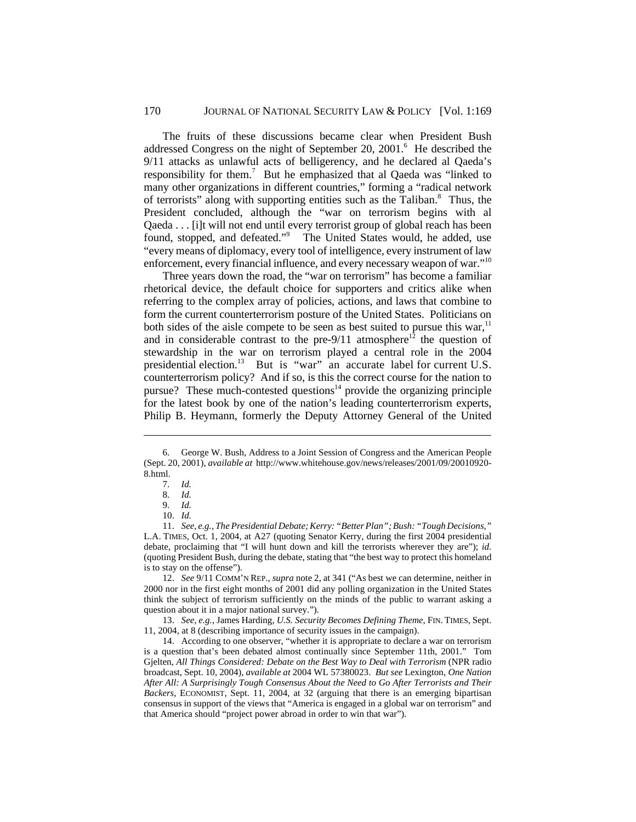The fruits of these discussions became clear when President Bush addressed Congress on the night of September 20, 2001.<sup>6</sup> He described the 9/11 attacks as unlawful acts of belligerency, and he declared al Qaeda's responsibility for them.<sup>7</sup> But he emphasized that al Qaeda was "linked to many other organizations in different countries," forming a "radical network of terrorists" along with supporting entities such as the Taliban.<sup>8</sup> Thus, the President concluded, although the "war on terrorism begins with al Qaeda . . . [i]t will not end until every terrorist group of global reach has been found, stopped, and defeated."<sup>9</sup> The United States would, he added, use "every means of diplomacy, every tool of intelligence, every instrument of law enforcement, every financial influence, and every necessary weapon of war."<sup>10</sup>

Three years down the road, the "war on terrorism" has become a familiar rhetorical device, the default choice for supporters and critics alike when referring to the complex array of policies, actions, and laws that combine to form the current counterterrorism posture of the United States. Politicians on both sides of the aisle compete to be seen as best suited to pursue this war,  $11$ and in considerable contrast to the pre-9/11 atmosphere<sup>12</sup> the question of stewardship in the war on terrorism played a central role in the 2004 presidential election.<sup>13</sup> But is "war" an accurate label for current U.S. counterterrorism policy? And if so, is this the correct course for the nation to pursue? These much-contested questions $14$  provide the organizing principle for the latest book by one of the nation's leading counterterrorism experts, Philip B. Heymann, formerly the Deputy Attorney General of the United

12. *See* 9/11 COMM'N REP., *supra* note 2, at 341 ("As best we can determine, neither in 2000 nor in the first eight months of 2001 did any polling organization in the United States think the subject of terrorism sufficiently on the minds of the public to warrant asking a question about it in a major national survey.").

13. *See, e.g.*, James Harding, *U.S. Security Becomes Defining Theme*, FIN. TIMES, Sept. 11, 2004, at 8 (describing importance of security issues in the campaign).

14. According to one observer, "whether it is appropriate to declare a war on terrorism is a question that's been debated almost continually since September 11th, 2001." Tom Gjelten, *All Things Considered: Debate on the Best Way to Deal with Terrorism* (NPR radio broadcast, Sept. 10, 2004), *available at* 2004 WL 57380023. *But see* Lexington, *One Nation After All: A Surprisingly Tough Consensus About the Need to Go After Terrorists and Their Backers*, ECONOMIST, Sept. 11, 2004, at 32 (arguing that there is an emerging bipartisan consensus in support of the views that "America is engaged in a global war on terrorism" and that America should "project power abroad in order to win that war").

<sup>6.</sup> George W. Bush, Address to a Joint Session of Congress and the American People (Sept. 20, 2001), *available at* http://www.whitehouse.gov/news/releases/2001/09/20010920- 8.html.

<sup>7.</sup> *Id.*

<sup>8.</sup> *Id.*

<sup>9.</sup> *Id.*

<sup>10.</sup> *Id.*

<sup>11.</sup> *See, e.g., The Presidential Debate; Kerry: "Better Plan"; Bush: "Tough Decisions,"* L.A. TIMES, Oct. 1, 2004, at A27 (quoting Senator Kerry, during the first 2004 presidential debate, proclaiming that "I will hunt down and kill the terrorists wherever they are"); *id.* (quoting President Bush, during the debate, stating that "the best way to protect this homeland is to stay on the offense").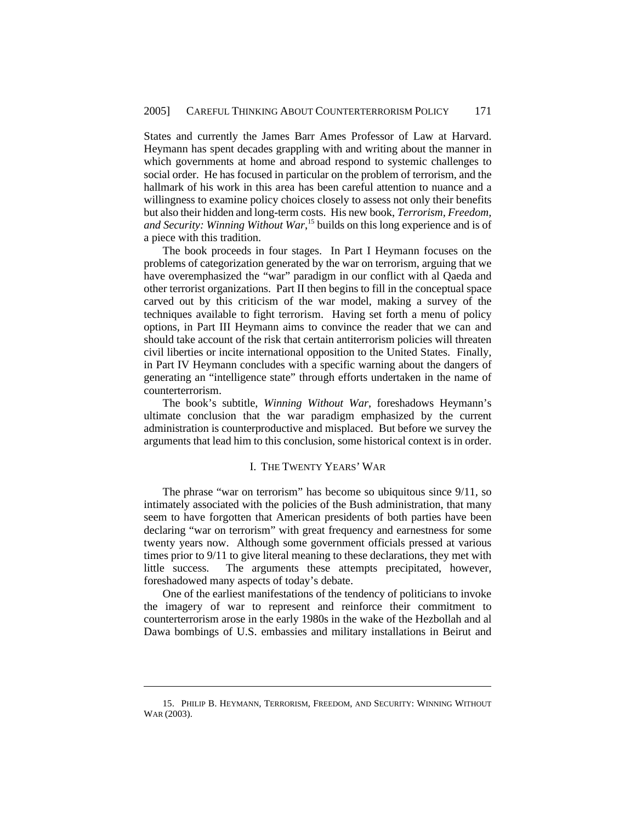States and currently the James Barr Ames Professor of Law at Harvard. Heymann has spent decades grappling with and writing about the manner in which governments at home and abroad respond to systemic challenges to social order. He has focused in particular on the problem of terrorism, and the hallmark of his work in this area has been careful attention to nuance and a willingness to examine policy choices closely to assess not only their benefits but also their hidden and long-term costs. His new book, *Terrorism, Freedom, and Security: Winning Without War*, 15 builds on this long experience and is of a piece with this tradition.

The book proceeds in four stages. In Part I Heymann focuses on the problems of categorization generated by the war on terrorism, arguing that we have overemphasized the "war" paradigm in our conflict with al Qaeda and other terrorist organizations. Part II then begins to fill in the conceptual space carved out by this criticism of the war model, making a survey of the techniques available to fight terrorism. Having set forth a menu of policy options, in Part III Heymann aims to convince the reader that we can and should take account of the risk that certain antiterrorism policies will threaten civil liberties or incite international opposition to the United States. Finally, in Part IV Heymann concludes with a specific warning about the dangers of generating an "intelligence state" through efforts undertaken in the name of counterterrorism.

The book's subtitle, *Winning Without War*, foreshadows Heymann's ultimate conclusion that the war paradigm emphasized by the current administration is counterproductive and misplaced. But before we survey the arguments that lead him to this conclusion, some historical context is in order.

#### I. THE TWENTY YEARS' WAR

The phrase "war on terrorism" has become so ubiquitous since 9/11, so intimately associated with the policies of the Bush administration, that many seem to have forgotten that American presidents of both parties have been declaring "war on terrorism" with great frequency and earnestness for some twenty years now. Although some government officials pressed at various times prior to 9/11 to give literal meaning to these declarations, they met with little success. The arguments these attempts precipitated, however, foreshadowed many aspects of today's debate.

One of the earliest manifestations of the tendency of politicians to invoke the imagery of war to represent and reinforce their commitment to counterterrorism arose in the early 1980s in the wake of the Hezbollah and al Dawa bombings of U.S. embassies and military installations in Beirut and

<sup>15.</sup> PHILIP B. HEYMANN, TERRORISM, FREEDOM, AND SECURITY: WINNING WITHOUT WAR (2003).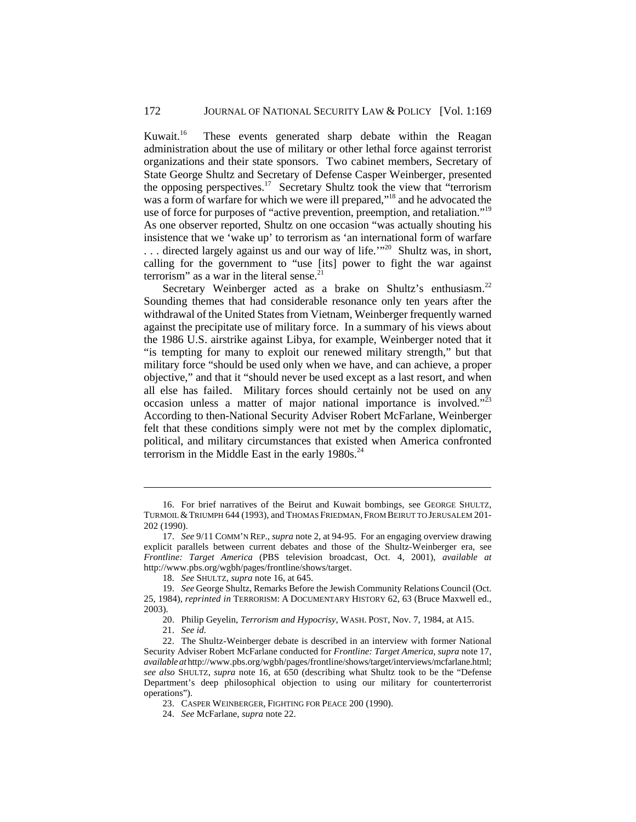Kuwait.16 These events generated sharp debate within the Reagan administration about the use of military or other lethal force against terrorist organizations and their state sponsors. Two cabinet members, Secretary of State George Shultz and Secretary of Defense Casper Weinberger, presented the opposing perspectives.<sup>17</sup> Secretary Shultz took the view that "terrorism" was a form of warfare for which we were ill prepared,"<sup>18</sup> and he advocated the use of force for purposes of "active prevention, preemption, and retaliation."<sup>19</sup> As one observer reported, Shultz on one occasion "was actually shouting his insistence that we 'wake up' to terrorism as 'an international form of warfare . . . directed largely against us and our way of life.'"20 Shultz was, in short, calling for the government to "use [its] power to fight the war against terrorism" as a war in the literal sense. $2$ 

Secretary Weinberger acted as a brake on Shultz's enthusiasm.<sup>22</sup> Sounding themes that had considerable resonance only ten years after the withdrawal of the United States from Vietnam, Weinberger frequently warned against the precipitate use of military force. In a summary of his views about the 1986 U.S. airstrike against Libya, for example, Weinberger noted that it "is tempting for many to exploit our renewed military strength," but that military force "should be used only when we have, and can achieve, a proper objective," and that it "should never be used except as a last resort, and when all else has failed. Military forces should certainly not be used on any occasion unless a matter of major national importance is involved."<sup>23</sup> According to then-National Security Adviser Robert McFarlane, Weinberger felt that these conditions simply were not met by the complex diplomatic, political, and military circumstances that existed when America confronted terrorism in the Middle East in the early  $1980s$ .<sup>24</sup>

<sup>16.</sup> For brief narratives of the Beirut and Kuwait bombings, see GEORGE SHULTZ, TURMOIL &TRIUMPH 644 (1993), and THOMAS FRIEDMAN, FROM BEIRUT TO JERUSALEM 201- 202 (1990).

<sup>17.</sup> *See* 9/11 COMM'N REP., *supra* note 2, at 94-95. For an engaging overview drawing explicit parallels between current debates and those of the Shultz-Weinberger era, see *Frontline: Target America* (PBS television broadcast, Oct. 4, 2001), *available at* http://www.pbs.org/wgbh/pages/frontline/shows/target.

<sup>18.</sup> *See* SHULTZ, *supra* note 16, at 645.

<sup>19.</sup> *See* George Shultz, Remarks Before the Jewish Community Relations Council (Oct. 25, 1984), *reprinted in* TERRORISM: A DOCUMENTARY HISTORY 62, 63 (Bruce Maxwell ed., 2003).

<sup>20.</sup> Philip Geyelin, *Terrorism and Hypocrisy*, WASH. POST, Nov. 7, 1984, at A15.

<sup>21.</sup> *See id.*

<sup>22.</sup> The Shultz-Weinberger debate is described in an interview with former National Security Adviser Robert McFarlane conducted for *Frontline: Target America*, *supra* note 17, *available at* http://www.pbs.org/wgbh/pages/frontline/shows/target/interviews/mcfarlane.html; *see also* SHULTZ, *supra* note 16, at 650 (describing what Shultz took to be the "Defense Department's deep philosophical objection to using our military for counterterrorist operations").

<sup>23.</sup> CASPER WEINBERGER, FIGHTING FOR PEACE 200 (1990).

<sup>24.</sup> *See* McFarlane, *supra* note 22.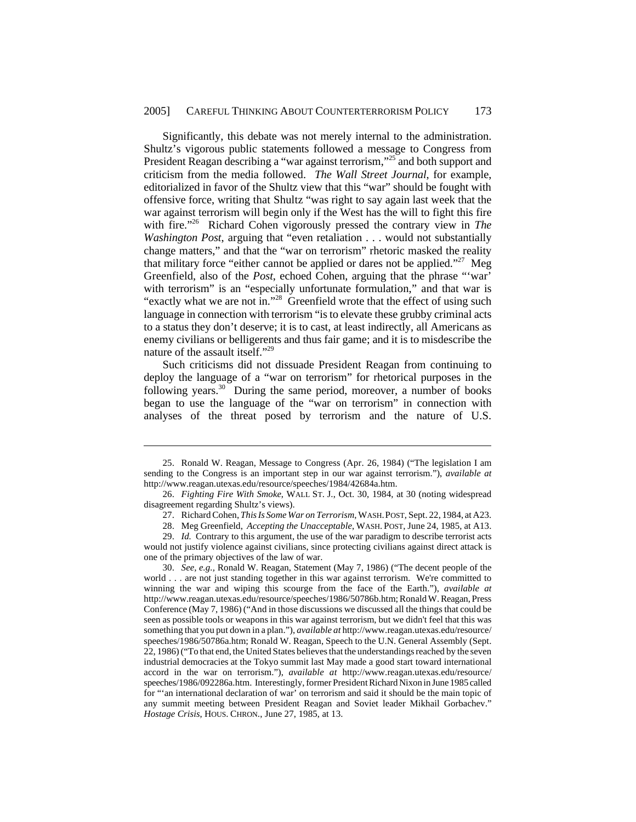Significantly, this debate was not merely internal to the administration. Shultz's vigorous public statements followed a message to Congress from President Reagan describing a "war against terrorism,"<sup>25</sup> and both support and criticism from the media followed. *The Wall Street Journal*, for example, editorialized in favor of the Shultz view that this "war" should be fought with offensive force, writing that Shultz "was right to say again last week that the war against terrorism will begin only if the West has the will to fight this fire with fire.<sup>"26</sup> Richard Cohen vigorously pressed the contrary view in *The Washington Post*, arguing that "even retaliation . . . would not substantially change matters," and that the "war on terrorism" rhetoric masked the reality that military force "either cannot be applied or dares not be applied."<sup>27</sup> Meg Greenfield, also of the *Post*, echoed Cohen, arguing that the phrase "'war' with terrorism" is an "especially unfortunate formulation," and that war is "exactly what we are not in."<sup>28</sup> Greenfield wrote that the effect of using such language in connection with terrorism "is to elevate these grubby criminal acts to a status they don't deserve; it is to cast, at least indirectly, all Americans as enemy civilians or belligerents and thus fair game; and it is to misdescribe the nature of the assault itself."<sup>29</sup>

Such criticisms did not dissuade President Reagan from continuing to deploy the language of a "war on terrorism" for rhetorical purposes in the following years. $30$  During the same period, moreover, a number of books began to use the language of the "war on terrorism" in connection with analyses of the threat posed by terrorism and the nature of U.S.

<sup>25.</sup> Ronald W. Reagan, Message to Congress (Apr. 26, 1984) ("The legislation I am sending to the Congress is an important step in our war against terrorism."), *available at* http://www.reagan.utexas.edu/resource/speeches/1984/42684a.htm.

<sup>26.</sup> *Fighting Fire With Smoke*, WALL ST. J., Oct. 30, 1984, at 30 (noting widespread disagreement regarding Shultz's views).

<sup>27.</sup> Richard Cohen, *This Is Some War on Terrorism*, WASH.POST, Sept. 22, 1984, at A23.

<sup>28.</sup> Meg Greenfield, *Accepting the Unacceptable*, WASH. POST, June 24, 1985, at A13. 29. *Id.* Contrary to this argument, the use of the war paradigm to describe terrorist acts would not justify violence against civilians, since protecting civilians against direct attack is one of the primary objectives of the law of war.

<sup>30.</sup> *See, e.g.,* Ronald W. Reagan, Statement (May 7, 1986) ("The decent people of the world . . . are not just standing together in this war against terrorism. We're committed to winning the war and wiping this scourge from the face of the Earth."), *available at* http://www.reagan.utexas.edu/resource/speeches/1986/50786b.htm; Ronald W. Reagan, Press Conference (May 7, 1986) ("And in those discussions we discussed all the things that could be seen as possible tools or weapons in this war against terrorism, but we didn't feel that this was something that you put down in a plan."), *available at* http://www.reagan.utexas.edu/resource/ speeches/1986/50786a.htm; Ronald W. Reagan, Speech to the U.N. General Assembly (Sept. 22, 1986) ("To that end, the United States believes that the understandings reached by the seven industrial democracies at the Tokyo summit last May made a good start toward international accord in the war on terrorism."), *available at* http://www.reagan.utexas.edu/resource/ speeches/1986/092286a.htm. Interestingly, former President Richard Nixon in June 1985 called for "'an international declaration of war' on terrorism and said it should be the main topic of any summit meeting between President Reagan and Soviet leader Mikhail Gorbachev." *Hostage Crisis*, HOUS. CHRON., June 27, 1985, at 13.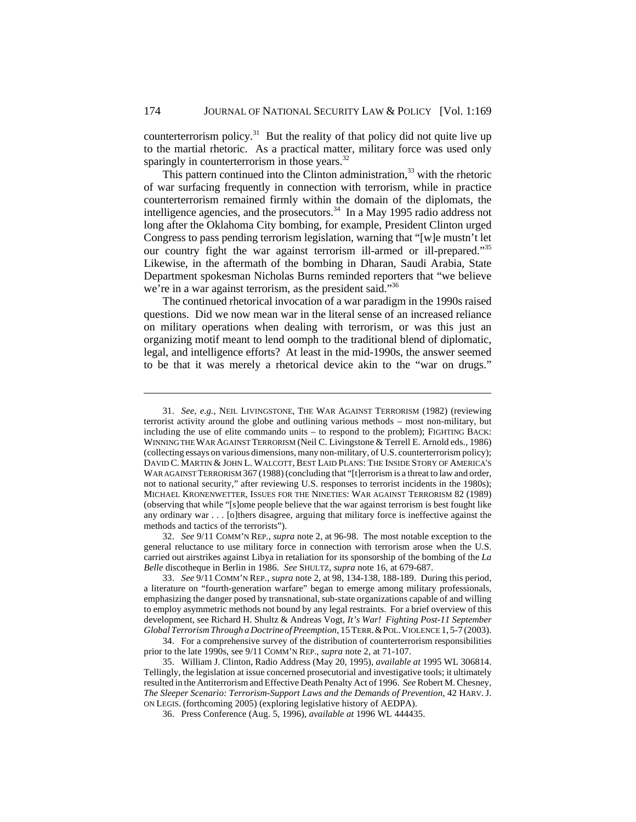counterterrorism policy.<sup>31</sup> But the reality of that policy did not quite live up to the martial rhetoric. As a practical matter, military force was used only sparingly in counterterrorism in those vears.<sup>32</sup>

This pattern continued into the Clinton administration, $33$  with the rhetoric of war surfacing frequently in connection with terrorism, while in practice counterterrorism remained firmly within the domain of the diplomats, the intelligence agencies, and the prosecutors. $34$  In a May 1995 radio address not long after the Oklahoma City bombing, for example, President Clinton urged Congress to pass pending terrorism legislation, warning that "[w]e mustn't let our country fight the war against terrorism ill-armed or ill-prepared."35 Likewise, in the aftermath of the bombing in Dharan, Saudi Arabia, State Department spokesman Nicholas Burns reminded reporters that "we believe we're in a war against terrorism, as the president said."<sup>36</sup>

The continued rhetorical invocation of a war paradigm in the 1990s raised questions. Did we now mean war in the literal sense of an increased reliance on military operations when dealing with terrorism, or was this just an organizing motif meant to lend oomph to the traditional blend of diplomatic, legal, and intelligence efforts? At least in the mid-1990s, the answer seemed to be that it was merely a rhetorical device akin to the "war on drugs."

32. *See* 9/11 COMM'N REP., *supra* note 2, at 96-98. The most notable exception to the general reluctance to use military force in connection with terrorism arose when the U.S. carried out airstrikes against Libya in retaliation for its sponsorship of the bombing of the *La Belle* discotheque in Berlin in 1986. *See* SHULTZ, *supra* note 16, at 679-687.

33. *See* 9/11 COMM'N REP., *supra* note 2, at 98, 134-138, 188-189. During this period, a literature on "fourth-generation warfare" began to emerge among military professionals, emphasizing the danger posed by transnational, sub-state organizations capable of and willing to employ asymmetric methods not bound by any legal restraints. For a brief overview of this development, see Richard H. Shultz & Andreas Vogt, *It's War! Fighting Post-11 September Global Terrorism Through a Doctrine of Preemption*, 15 TERR.&POL.VIOLENCE 1, 5-7 (2003).

34. For a comprehensive survey of the distribution of counterterrorism responsibilities prior to the late 1990s, see 9/11 COMM'N REP., *supra* note 2, at 71-107.

35. William J. Clinton, Radio Address (May 20, 1995), *available at* 1995 WL 306814. Tellingly, the legislation at issue concerned prosecutorial and investigative tools; it ultimately resulted in the Antiterrorism and Effective Death Penalty Act of 1996. *See* Robert M. Chesney, *The Sleeper Scenario: Terrorism-Support Laws and the Demands of Prevention*, 42 HARV.J. ON LEGIS. (forthcoming 2005) (exploring legislative history of AEDPA).

36. Press Conference (Aug. 5, 1996), *available at* 1996 WL 444435.

<sup>31.</sup> *See, e.g.*, NEIL LIVINGSTONE, THE WAR AGAINST TERRORISM (1982) (reviewing terrorist activity around the globe and outlining various methods – most non-military, but including the use of elite commando units – to respond to the problem); FIGHTING BACK: WINNING THE WAR AGAINST TERRORISM (Neil C. Livingstone & Terrell E. Arnold eds., 1986) (collecting essays on various dimensions, many non-military, of U.S. counterterrorism policy); DAVID C. MARTIN & JOHN L. WALCOTT, BEST LAID PLANS: THE INSIDE STORY OF AMERICA'S WAR AGAINST TERRORISM 367 (1988) (concluding that "[t]errorism is a threat to law and order, not to national security," after reviewing U.S. responses to terrorist incidents in the 1980s); MICHAEL KRONENWETTER, ISSUES FOR THE NINETIES: WAR AGAINST TERRORISM 82 (1989) (observing that while "[s]ome people believe that the war against terrorism is best fought like any ordinary war . . . [o]thers disagree, arguing that military force is ineffective against the methods and tactics of the terrorists").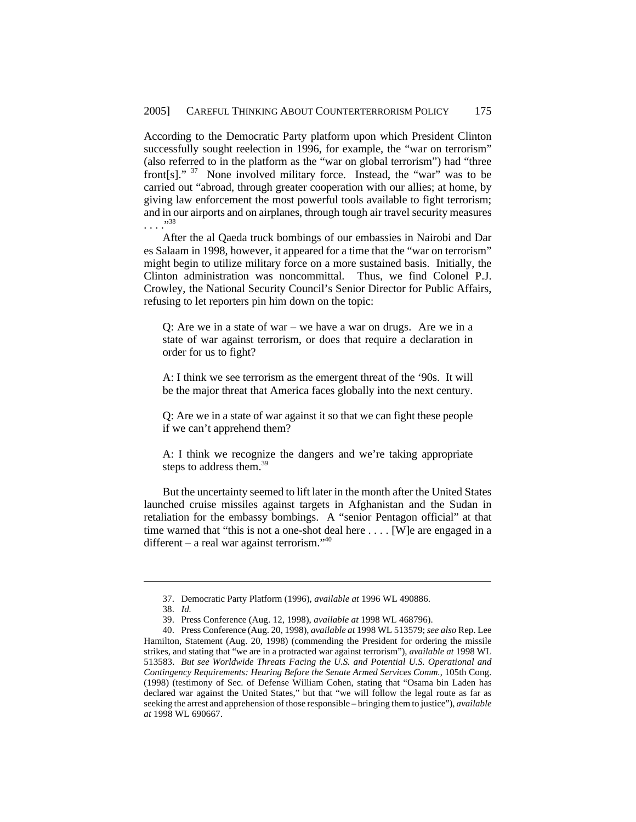According to the Democratic Party platform upon which President Clinton successfully sought reelection in 1996, for example, the "war on terrorism" (also referred to in the platform as the "war on global terrorism") had "three front[s]."  $37$  None involved military force. Instead, the "war" was to be carried out "abroad, through greater cooperation with our allies; at home, by giving law enforcement the most powerful tools available to fight terrorism; and in our airports and on airplanes, through tough air travel security measures . . . ."38

After the al Qaeda truck bombings of our embassies in Nairobi and Dar es Salaam in 1998, however, it appeared for a time that the "war on terrorism" might begin to utilize military force on a more sustained basis. Initially, the Clinton administration was noncommittal. Thus, we find Colonel P.J. Crowley, the National Security Council's Senior Director for Public Affairs, refusing to let reporters pin him down on the topic:

Q: Are we in a state of war – we have a war on drugs. Are we in a state of war against terrorism, or does that require a declaration in order for us to fight?

A: I think we see terrorism as the emergent threat of the '90s. It will be the major threat that America faces globally into the next century.

Q: Are we in a state of war against it so that we can fight these people if we can't apprehend them?

A: I think we recognize the dangers and we're taking appropriate steps to address them.<sup>39</sup>

But the uncertainty seemed to lift later in the month after the United States launched cruise missiles against targets in Afghanistan and the Sudan in retaliation for the embassy bombings. A "senior Pentagon official" at that time warned that "this is not a one-shot deal here . . . . [W]e are engaged in a different – a real war against terrorism."<sup>40</sup>

<sup>37.</sup> Democratic Party Platform (1996), *available at* 1996 WL 490886.

<sup>38.</sup> *Id.*

<sup>39.</sup> Press Conference (Aug. 12, 1998), *available at* 1998 WL 468796).

<sup>40.</sup> Press Conference (Aug. 20, 1998), *available at* 1998 WL 513579; *see also* Rep. Lee Hamilton, Statement (Aug. 20, 1998) (commending the President for ordering the missile strikes, and stating that "we are in a protracted war against terrorism"), *available at* 1998 WL 513583. *But see Worldwide Threats Facing the U.S. and Potential U.S. Operational and Contingency Requirements: Hearing Before the Senate Armed Services Comm.*, 105th Cong. (1998) (testimony of Sec. of Defense William Cohen, stating that "Osama bin Laden has declared war against the United States," but that "we will follow the legal route as far as seeking the arrest and apprehension of those responsible – bringing them to justice"), *available at* 1998 WL 690667.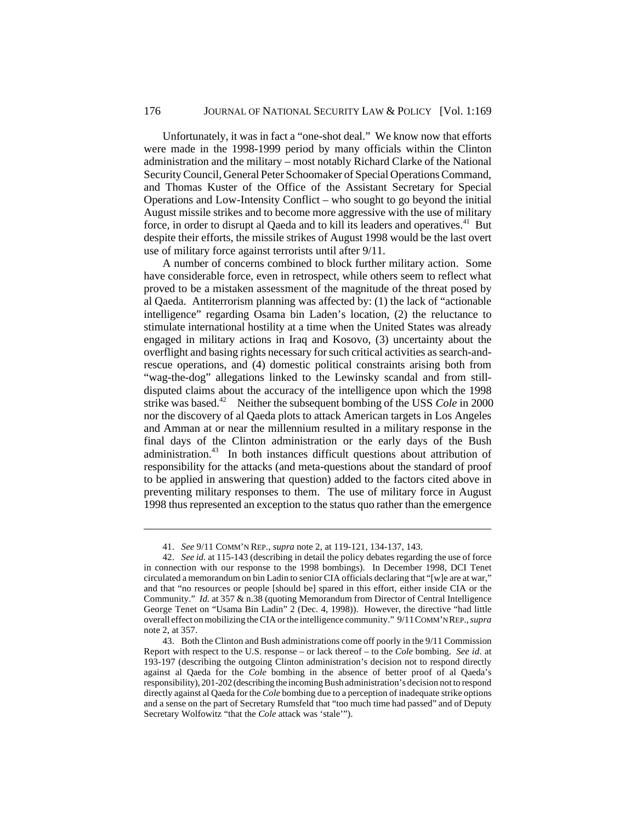## 176 JOURNAL OF NATIONAL SECURITY LAW & POLICY [Vol. 1:169]

Unfortunately, it was in fact a "one-shot deal." We know now that efforts were made in the 1998-1999 period by many officials within the Clinton administration and the military – most notably Richard Clarke of the National Security Council, General Peter Schoomaker of Special Operations Command, and Thomas Kuster of the Office of the Assistant Secretary for Special Operations and Low-Intensity Conflict – who sought to go beyond the initial August missile strikes and to become more aggressive with the use of military force, in order to disrupt al Qaeda and to kill its leaders and operatives.<sup>41</sup> But despite their efforts, the missile strikes of August 1998 would be the last overt use of military force against terrorists until after 9/11.

A number of concerns combined to block further military action. Some have considerable force, even in retrospect, while others seem to reflect what proved to be a mistaken assessment of the magnitude of the threat posed by al Qaeda. Antiterrorism planning was affected by: (1) the lack of "actionable intelligence" regarding Osama bin Laden's location, (2) the reluctance to stimulate international hostility at a time when the United States was already engaged in military actions in Iraq and Kosovo, (3) uncertainty about the overflight and basing rights necessary for such critical activities as search-andrescue operations, and (4) domestic political constraints arising both from "wag-the-dog" allegations linked to the Lewinsky scandal and from stilldisputed claims about the accuracy of the intelligence upon which the 1998 strike was based.<sup>42</sup> Neither the subsequent bombing of the USS *Cole* in 2000 nor the discovery of al Qaeda plots to attack American targets in Los Angeles and Amman at or near the millennium resulted in a military response in the final days of the Clinton administration or the early days of the Bush administration.<sup>43</sup> In both instances difficult questions about attribution of responsibility for the attacks (and meta-questions about the standard of proof to be applied in answering that question) added to the factors cited above in preventing military responses to them. The use of military force in August 1998 thus represented an exception to the status quo rather than the emergence

<sup>41.</sup> *See* 9/11 COMM'N REP., *supra* note 2, at 119-121, 134-137, 143.

<sup>42.</sup> *See id.* at 115-143 (describing in detail the policy debates regarding the use of force in connection with our response to the 1998 bombings).In December 1998, DCI Tenet circulated a memorandum on bin Ladin to senior CIA officials declaring that "[w]e are at war," and that "no resources or people [should be] spared in this effort, either inside CIA or the Community." *Id.* at 357 & n.38 (quoting Memorandum from Director of Central Intelligence George Tenet on "Usama Bin Ladin" 2 (Dec. 4, 1998)). However, the directive "had little overall effect on mobilizing the CIA or the intelligence community." 9/11COMM'N REP., *supra* note 2, at 357.

<sup>43.</sup> Both the Clinton and Bush administrations come off poorly in the 9/11 Commission Report with respect to the U.S. response – or lack thereof – to the *Cole* bombing. *See id.* at 193-197 (describing the outgoing Clinton administration's decision not to respond directly against al Qaeda for the *Cole* bombing in the absence of better proof of al Qaeda's responsibility), 201-202 (describing the incoming Bush administration's decision not to respond directly against al Qaeda for the *Cole* bombing due to a perception of inadequate strike options and a sense on the part of Secretary Rumsfeld that "too much time had passed" and of Deputy Secretary Wolfowitz "that the *Cole* attack was 'stale'").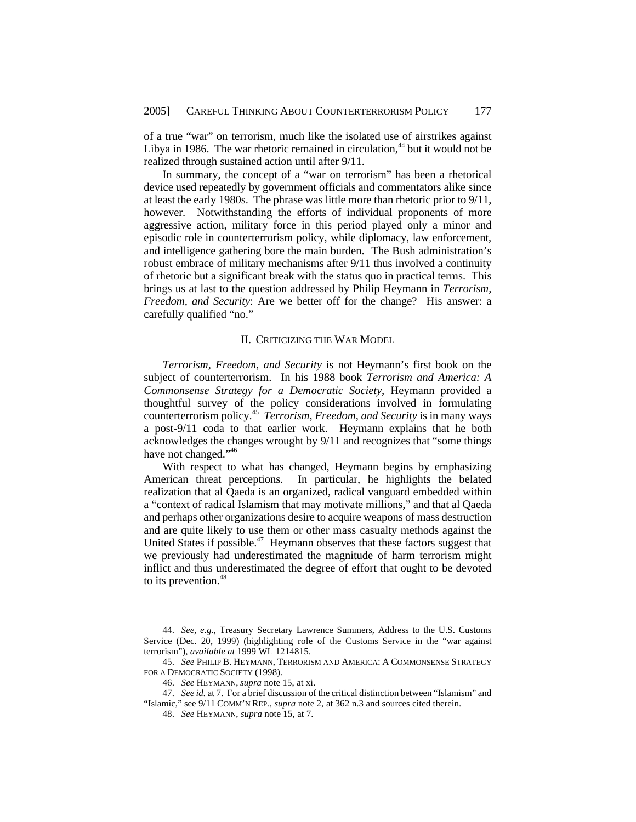of a true "war" on terrorism, much like the isolated use of airstrikes against Libya in 1986. The war rhetoric remained in circulation, $44$  but it would not be realized through sustained action until after 9/11.

In summary, the concept of a "war on terrorism" has been a rhetorical device used repeatedly by government officials and commentators alike since at least the early 1980s. The phrase was little more than rhetoric prior to 9/11, however. Notwithstanding the efforts of individual proponents of more aggressive action, military force in this period played only a minor and episodic role in counterterrorism policy, while diplomacy, law enforcement, and intelligence gathering bore the main burden. The Bush administration's robust embrace of military mechanisms after 9/11 thus involved a continuity of rhetoric but a significant break with the status quo in practical terms. This brings us at last to the question addressed by Philip Heymann in *Terrorism, Freedom, and Security*: Are we better off for the change? His answer: a carefully qualified "no."

#### II. CRITICIZING THE WAR MODEL

*Terrorism, Freedom, and Security* is not Heymann's first book on the subject of counterterrorism. In his 1988 book *Terrorism and America: A Commonsense Strategy for a Democratic Society*, Heymann provided a thoughtful survey of the policy considerations involved in formulating counterterrorism policy.45 *Terrorism, Freedom, and Security* is in many ways a post-9/11 coda to that earlier work. Heymann explains that he both acknowledges the changes wrought by 9/11 and recognizes that "some things have not changed."<sup>46</sup>

With respect to what has changed, Heymann begins by emphasizing American threat perceptions. In particular, he highlights the belated realization that al Qaeda is an organized, radical vanguard embedded within a "context of radical Islamism that may motivate millions," and that al Qaeda and perhaps other organizations desire to acquire weapons of mass destruction and are quite likely to use them or other mass casualty methods against the United States if possible.<sup>47</sup> Heymann observes that these factors suggest that we previously had underestimated the magnitude of harm terrorism might inflict and thus underestimated the degree of effort that ought to be devoted to its prevention.<sup>48</sup>

<sup>44.</sup> *See, e.g.*, Treasury Secretary Lawrence Summers, Address to the U.S. Customs Service (Dec. 20, 1999) (highlighting role of the Customs Service in the "war against terrorism"), *available at* 1999 WL 1214815.

<sup>45.</sup> *See* PHILIP B. HEYMANN, TERRORISM AND AMERICA: A COMMONSENSE STRATEGY FOR A DEMOCRATIC SOCIETY (1998).

<sup>46.</sup> *See* HEYMANN, *supra* note 15, at xi.

<sup>47.</sup> *See id.* at 7. For a brief discussion of the critical distinction between "Islamism" and "Islamic," see 9/11 COMM'N REP*., supra* note 2, at 362 n.3 and sources cited therein.

<sup>48.</sup> *See* HEYMANN, *supra* note 15, at 7.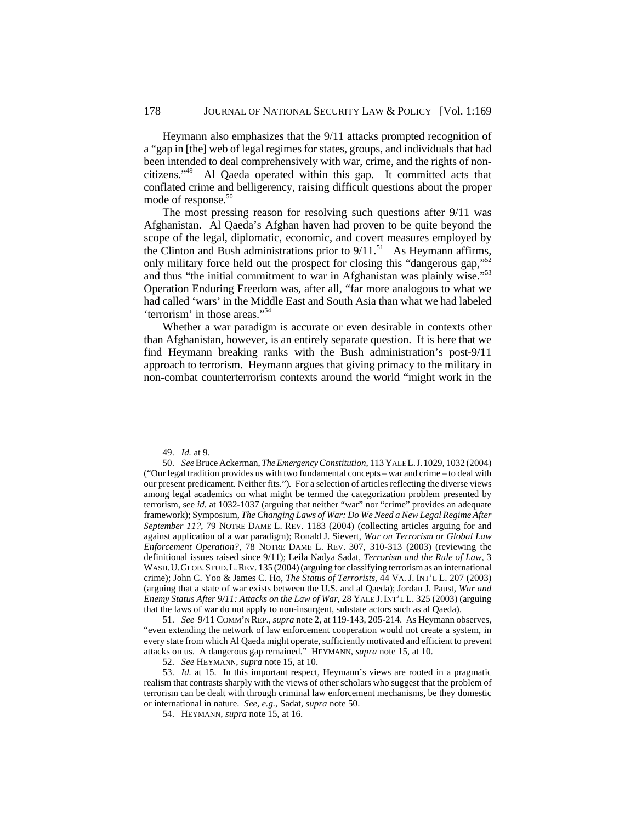Heymann also emphasizes that the 9/11 attacks prompted recognition of a "gap in [the] web of legal regimes for states, groups, and individuals that had been intended to deal comprehensively with war, crime, and the rights of noncitizens."49 Al Qaeda operated within this gap. It committed acts that conflated crime and belligerency, raising difficult questions about the proper mode of response.<sup>50</sup>

The most pressing reason for resolving such questions after 9/11 was Afghanistan. Al Qaeda's Afghan haven had proven to be quite beyond the scope of the legal, diplomatic, economic, and covert measures employed by the Clinton and Bush administrations prior to 9/11.<sup>51</sup> As Heymann affirms, only military force held out the prospect for closing this "dangerous gap,"<sup>52</sup> and thus "the initial commitment to war in Afghanistan was plainly wise."53 Operation Enduring Freedom was, after all, "far more analogous to what we had called 'wars' in the Middle East and South Asia than what we had labeled 'terrorism' in those areas."54

Whether a war paradigm is accurate or even desirable in contexts other than Afghanistan, however, is an entirely separate question. It is here that we find Heymann breaking ranks with the Bush administration's post-9/11 approach to terrorism. Heymann argues that giving primacy to the military in non-combat counterterrorism contexts around the world "might work in the

51. *See* 9/11 COMM'N REP., *supra* note 2, at 119-143, 205-214. As Heymann observes, "even extending the network of law enforcement cooperation would not create a system, in every state from which Al Qaeda might operate, sufficiently motivated and efficient to prevent attacks on us. A dangerous gap remained." HEYMANN, *supra* note 15, at 10.

52. *See* HEYMANN*, supra* note 15, at 10.

53. *Id.* at 15. In this important respect, Heymann's views are rooted in a pragmatic realism that contrasts sharply with the views of other scholars who suggest that the problem of terrorism can be dealt with through criminal law enforcement mechanisms, be they domestic or international in nature. *See*, *e.g.*, Sadat, *supra* note 50.

54. HEYMANN*, supra* note 15, at 16.

<sup>49.</sup> *Id.* at 9.

<sup>50.</sup> *See* Bruce Ackerman, *The Emergency Constitution,* 113 YALE L.J.1029, 1032 (2004) ("Our legal tradition provides us with two fundamental concepts – war and crime – to deal with our present predicament. Neither fits.")*.* For a selection of articles reflecting the diverse views among legal academics on what might be termed the categorization problem presented by terrorism, see *id.* at 1032-1037 (arguing that neither "war" nor "crime" provides an adequate framework); Symposium, *The Changing Laws of War: Do We Need a New Legal Regime After September 11?*, 79 NOTRE DAME L. REV. 1183 (2004) (collecting articles arguing for and against application of a war paradigm); Ronald J. Sievert, *War on Terrorism or Global Law Enforcement Operation?*, 78 NOTRE DAME L. REV. 307, 310-313 (2003) (reviewing the definitional issues raised since 9/11); Leila Nadya Sadat, *Terrorism and the Rule of Law*, 3 WASH.U.GLOB.STUD.L.REV. 135 (2004) (arguing for classifying terrorism as an international crime); John C. Yoo & James C. Ho, *The Status of Terrorists*, 44 VA. J. INT'L L. 207 (2003) (arguing that a state of war exists between the U.S. and al Qaeda); Jordan J. Paust, *War and Enemy Status After 9/11: Attacks on the Law of War*, 28 YALE J.INT'L L. 325 (2003) (arguing that the laws of war do not apply to non-insurgent, substate actors such as al Qaeda).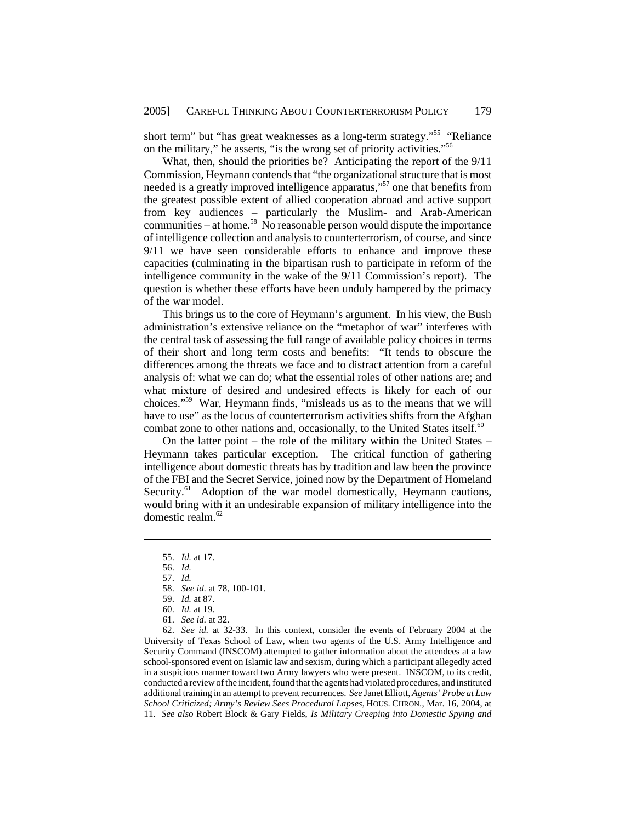short term" but "has great weaknesses as a long-term strategy."<sup>55</sup> "Reliance" on the military," he asserts, "is the wrong set of priority activities."56

What, then, should the priorities be? Anticipating the report of the 9/11 Commission, Heymann contends that "the organizational structure that is most needed is a greatly improved intelligence apparatus,"<sup>57</sup> one that benefits from the greatest possible extent of allied cooperation abroad and active support from key audiences – particularly the Muslim- and Arab-American communities – at home.<sup>58</sup> No reasonable person would dispute the importance of intelligence collection and analysis to counterterrorism, of course, and since 9/11 we have seen considerable efforts to enhance and improve these capacities (culminating in the bipartisan rush to participate in reform of the intelligence community in the wake of the 9/11 Commission's report). The question is whether these efforts have been unduly hampered by the primacy of the war model.

This brings us to the core of Heymann's argument. In his view, the Bush administration's extensive reliance on the "metaphor of war" interferes with the central task of assessing the full range of available policy choices in terms of their short and long term costs and benefits: "It tends to obscure the differences among the threats we face and to distract attention from a careful analysis of: what we can do; what the essential roles of other nations are; and what mixture of desired and undesired effects is likely for each of our choices."59 War, Heymann finds, "misleads us as to the means that we will have to use" as the locus of counterterrorism activities shifts from the Afghan combat zone to other nations and, occasionally, to the United States itself.<sup>60</sup>

On the latter point – the role of the military within the United States – Heymann takes particular exception. The critical function of gathering intelligence about domestic threats has by tradition and law been the province of the FBI and the Secret Service, joined now by the Department of Homeland Security.<sup>61</sup> Adoption of the war model domestically, Heymann cautions, would bring with it an undesirable expansion of military intelligence into the domestic realm.<sup>62</sup>

61. *See id.* at 32.

62. *See id.* at 32-33. In this context, consider the events of February 2004 at the University of Texas School of Law, when two agents of the U.S. Army Intelligence and Security Command (INSCOM) attempted to gather information about the attendees at a law school-sponsored event on Islamic law and sexism, during which a participant allegedly acted in a suspicious manner toward two Army lawyers who were present. INSCOM, to its credit, conducted a review of the incident, found that the agents had violated procedures, and instituted additional training in an attempt to prevent recurrences. *See* Janet Elliott, *Agents' Probe at Law School Criticized; Army's Review Sees Procedural Lapses*, HOUS. CHRON., Mar. 16, 2004, at 11. *See also* Robert Block & Gary Fields, *Is Military Creeping into Domestic Spying and*

<sup>55.</sup> *Id.* at 17.

<sup>56.</sup> *Id.*

<sup>57.</sup> *Id.*

<sup>58.</sup> *See id.* at 78, 100-101.

<sup>59.</sup> *Id.* at 87.

<sup>60.</sup> *Id.* at 19.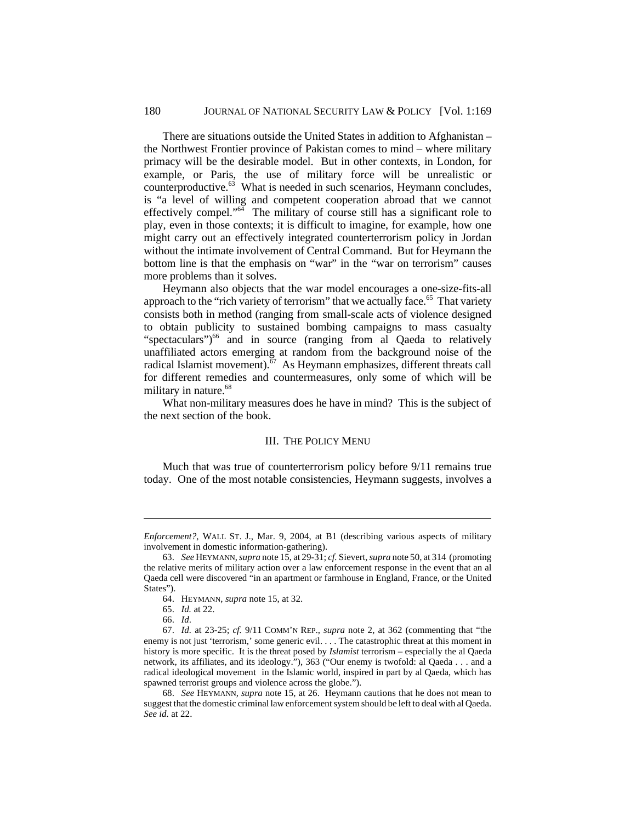There are situations outside the United States in addition to Afghanistan – the Northwest Frontier province of Pakistan comes to mind – where military primacy will be the desirable model. But in other contexts, in London, for example, or Paris, the use of military force will be unrealistic or counterproductive.<sup>63</sup> What is needed in such scenarios, Heymann concludes, is "a level of willing and competent cooperation abroad that we cannot effectively compel." $64$  The military of course still has a significant role to play, even in those contexts; it is difficult to imagine, for example, how one might carry out an effectively integrated counterterrorism policy in Jordan without the intimate involvement of Central Command. But for Heymann the bottom line is that the emphasis on "war" in the "war on terrorism" causes more problems than it solves.

Heymann also objects that the war model encourages a one-size-fits-all approach to the "rich variety of terrorism" that we actually face.<sup>65</sup> That variety consists both in method (ranging from small-scale acts of violence designed to obtain publicity to sustained bombing campaigns to mass casualty "spectaculars") $^{66}$  and in source (ranging from al Qaeda to relatively unaffiliated actors emerging at random from the background noise of the radical Islamist movement).<sup>67</sup> As Heymann emphasizes, different threats call for different remedies and countermeasures, only some of which will be military in nature.<sup>68</sup>

What non-military measures does he have in mind? This is the subject of the next section of the book.

## III. THE POLICY MENU

Much that was true of counterterrorism policy before 9/11 remains true today. One of the most notable consistencies, Heymann suggests, involves a

*Enforcement?*, WALL ST. J., Mar. 9, 2004, at B1 (describing various aspects of military involvement in domestic information-gathering).

<sup>63.</sup> *See* HEYMANN, *supra* note 15, at 29-31; *cf.* Sievert, *supra* note 50, at 314 (promoting the relative merits of military action over a law enforcement response in the event that an al Qaeda cell were discovered "in an apartment or farmhouse in England, France, or the United States").

<sup>64.</sup> HEYMANN, *supra* note 15, at 32.

<sup>65.</sup> *Id.* at 22.

<sup>66.</sup> *Id*.

<sup>67.</sup> *Id.* at 23-25; *cf.* 9/11 COMM'N REP., *supra* note 2, at 362 (commenting that "the enemy is not just 'terrorism,' some generic evil. . . . The catastrophic threat at this moment in history is more specific. It is the threat posed by *Islamist* terrorism – especially the al Qaeda network, its affiliates, and its ideology."), 363 ("Our enemy is twofold: al Qaeda . . . and a radical ideological movement in the Islamic world, inspired in part by al Qaeda, which has spawned terrorist groups and violence across the globe.").

<sup>68.</sup> *See* HEYMANN*, supra* note 15, at 26. Heymann cautions that he does not mean to suggest that the domestic criminal law enforcement system should be left to deal with al Qaeda. *See id.* at 22.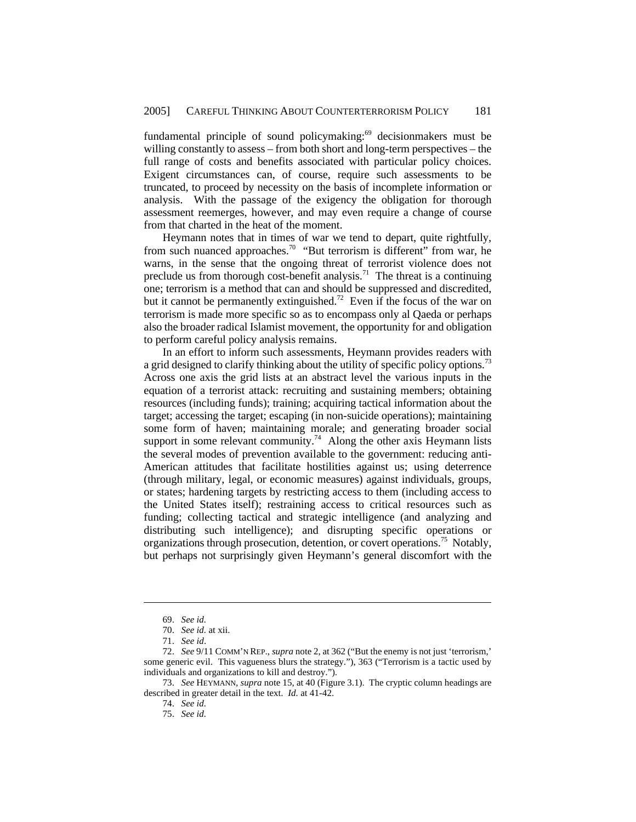fundamental principle of sound policymaking:<sup>69</sup> decisionmakers must be willing constantly to assess – from both short and long-term perspectives – the full range of costs and benefits associated with particular policy choices. Exigent circumstances can, of course, require such assessments to be truncated, to proceed by necessity on the basis of incomplete information or analysis. With the passage of the exigency the obligation for thorough assessment reemerges, however, and may even require a change of course from that charted in the heat of the moment.

Heymann notes that in times of war we tend to depart, quite rightfully, from such nuanced approaches.<sup>70</sup> "But terrorism is different" from war, he warns, in the sense that the ongoing threat of terrorist violence does not preclude us from thorough cost-benefit analysis.<sup>71</sup> The threat is a continuing one; terrorism is a method that can and should be suppressed and discredited, but it cannot be permanently extinguished.<sup>72</sup> Even if the focus of the war on terrorism is made more specific so as to encompass only al Qaeda or perhaps also the broader radical Islamist movement, the opportunity for and obligation to perform careful policy analysis remains.

In an effort to inform such assessments, Heymann provides readers with a grid designed to clarify thinking about the utility of specific policy options.<sup>73</sup> Across one axis the grid lists at an abstract level the various inputs in the equation of a terrorist attack: recruiting and sustaining members; obtaining resources (including funds); training; acquiring tactical information about the target; accessing the target; escaping (in non-suicide operations); maintaining some form of haven; maintaining morale; and generating broader social support in some relevant community.<sup>74</sup> Along the other axis Heymann lists the several modes of prevention available to the government: reducing anti-American attitudes that facilitate hostilities against us; using deterrence (through military, legal, or economic measures) against individuals, groups, or states; hardening targets by restricting access to them (including access to the United States itself); restraining access to critical resources such as funding; collecting tactical and strategic intelligence (and analyzing and distributing such intelligence); and disrupting specific operations or organizations through prosecution, detention, or covert operations.<sup>75</sup> Notably, but perhaps not surprisingly given Heymann's general discomfort with the

<sup>69.</sup> *See id.*

<sup>70.</sup> *See id.* at xii.

<sup>71.</sup> *See id*.

<sup>72.</sup> *See* 9/11 COMM'N REP., *supra* note 2, at 362 ("But the enemy is not just 'terrorism,' some generic evil. This vagueness blurs the strategy."), 363 ("Terrorism is a tactic used by individuals and organizations to kill and destroy.").

<sup>73.</sup> *See* HEYMANN*, supra* note 15, at 40 (Figure 3.1). The cryptic column headings are described in greater detail in the text. *Id.* at 41-42.

<sup>74.</sup> *See id.*

<sup>75.</sup> *See id.*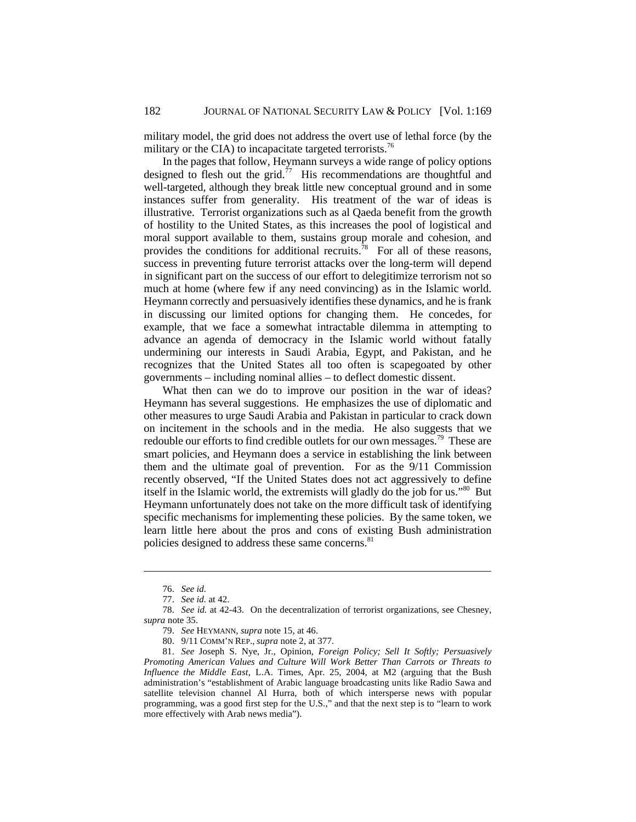military model, the grid does not address the overt use of lethal force (by the military or the CIA) to incapacitate targeted terrorists.<sup>76</sup>

In the pages that follow, Heymann surveys a wide range of policy options designed to flesh out the grid.<sup>77</sup> His recommendations are thoughtful and well-targeted, although they break little new conceptual ground and in some instances suffer from generality. His treatment of the war of ideas is illustrative. Terrorist organizations such as al Qaeda benefit from the growth of hostility to the United States, as this increases the pool of logistical and moral support available to them, sustains group morale and cohesion, and provides the conditions for additional recruits.<sup>78</sup> For all of these reasons, success in preventing future terrorist attacks over the long-term will depend in significant part on the success of our effort to delegitimize terrorism not so much at home (where few if any need convincing) as in the Islamic world. Heymann correctly and persuasively identifies these dynamics, and he is frank in discussing our limited options for changing them. He concedes, for example, that we face a somewhat intractable dilemma in attempting to advance an agenda of democracy in the Islamic world without fatally undermining our interests in Saudi Arabia, Egypt, and Pakistan, and he recognizes that the United States all too often is scapegoated by other governments – including nominal allies – to deflect domestic dissent.

What then can we do to improve our position in the war of ideas? Heymann has several suggestions. He emphasizes the use of diplomatic and other measures to urge Saudi Arabia and Pakistan in particular to crack down on incitement in the schools and in the media. He also suggests that we redouble our efforts to find credible outlets for our own messages.<sup>79</sup> These are smart policies, and Heymann does a service in establishing the link between them and the ultimate goal of prevention. For as the 9/11 Commission recently observed, "If the United States does not act aggressively to define itself in the Islamic world, the extremists will gladly do the job for us."<sup>80</sup> But Heymann unfortunately does not take on the more difficult task of identifying specific mechanisms for implementing these policies. By the same token, we learn little here about the pros and cons of existing Bush administration policies designed to address these same concerns.<sup>81</sup>

<sup>76.</sup> *See id.*

<sup>77.</sup> *See id.* at 42.

<sup>78.</sup> *See id.* at 42-43. On the decentralization of terrorist organizations, see Chesney, *supra* note 35.

<sup>79.</sup> *See* HEYMANN*, supra* note 15, at 46.

<sup>80. 9/11</sup> COMM'N REP., *supra* note 2, at 377.

<sup>81.</sup> *See* Joseph S. Nye, Jr., Opinion, *Foreign Policy; Sell It Softly; Persuasively Promoting American Values and Culture Will Work Better Than Carrots or Threats to Influence the Middle East*, L.A. Times, Apr. 25, 2004, at M2 (arguing that the Bush administration's "establishment of Arabic language broadcasting units like Radio Sawa and satellite television channel Al Hurra, both of which intersperse news with popular programming, was a good first step for the U.S.," and that the next step is to "learn to work more effectively with Arab news media").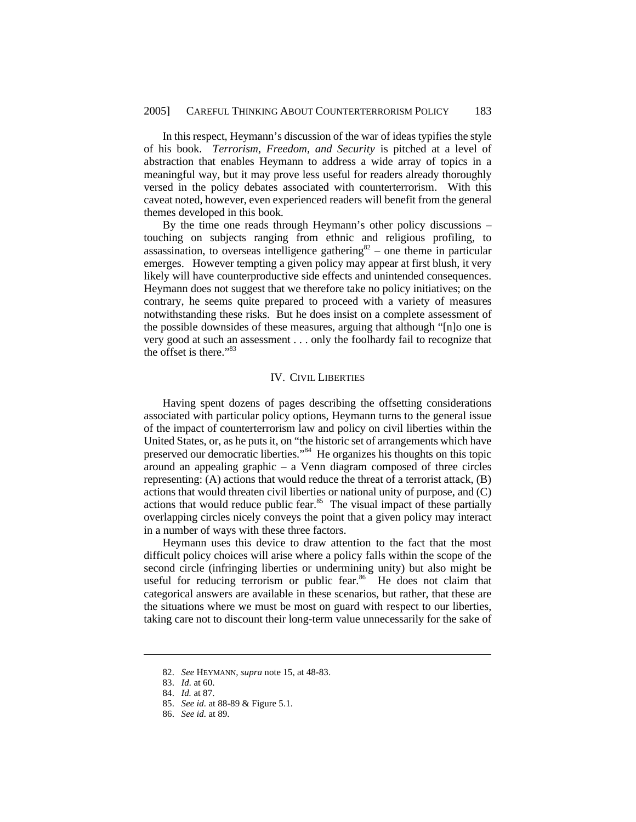In this respect, Heymann's discussion of the war of ideas typifies the style of his book. *Terrorism, Freedom, and Security* is pitched at a level of abstraction that enables Heymann to address a wide array of topics in a meaningful way, but it may prove less useful for readers already thoroughly versed in the policy debates associated with counterterrorism. With this caveat noted, however, even experienced readers will benefit from the general themes developed in this book.

By the time one reads through Heymann's other policy discussions – touching on subjects ranging from ethnic and religious profiling, to assassination, to overseas intelligence gathering $82$  – one theme in particular emerges. However tempting a given policy may appear at first blush, it very likely will have counterproductive side effects and unintended consequences. Heymann does not suggest that we therefore take no policy initiatives; on the contrary, he seems quite prepared to proceed with a variety of measures notwithstanding these risks. But he does insist on a complete assessment of the possible downsides of these measures, arguing that although "[n]o one is very good at such an assessment . . . only the foolhardy fail to recognize that the offset is there." $83$ 

# IV. CIVIL LIBERTIES

Having spent dozens of pages describing the offsetting considerations associated with particular policy options, Heymann turns to the general issue of the impact of counterterrorism law and policy on civil liberties within the United States, or, as he puts it, on "the historic set of arrangements which have preserved our democratic liberties."<sup>84</sup> He organizes his thoughts on this topic around an appealing graphic – a Venn diagram composed of three circles representing: (A) actions that would reduce the threat of a terrorist attack, (B) actions that would threaten civil liberties or national unity of purpose, and (C) actions that would reduce public fear.<sup>85</sup> The visual impact of these partially overlapping circles nicely conveys the point that a given policy may interact in a number of ways with these three factors.

Heymann uses this device to draw attention to the fact that the most difficult policy choices will arise where a policy falls within the scope of the second circle (infringing liberties or undermining unity) but also might be useful for reducing terrorism or public fear.<sup>86</sup> He does not claim that categorical answers are available in these scenarios, but rather, that these are the situations where we must be most on guard with respect to our liberties, taking care not to discount their long-term value unnecessarily for the sake of

<sup>82.</sup> *See* HEYMANN*, supra* note 15, at 48-83.

<sup>83.</sup> *Id.* at 60.

<sup>84.</sup> *Id.* at 87.

<sup>85.</sup> *See id.* at 88-89 & Figure 5.1.

<sup>86.</sup> *See id.* at 89.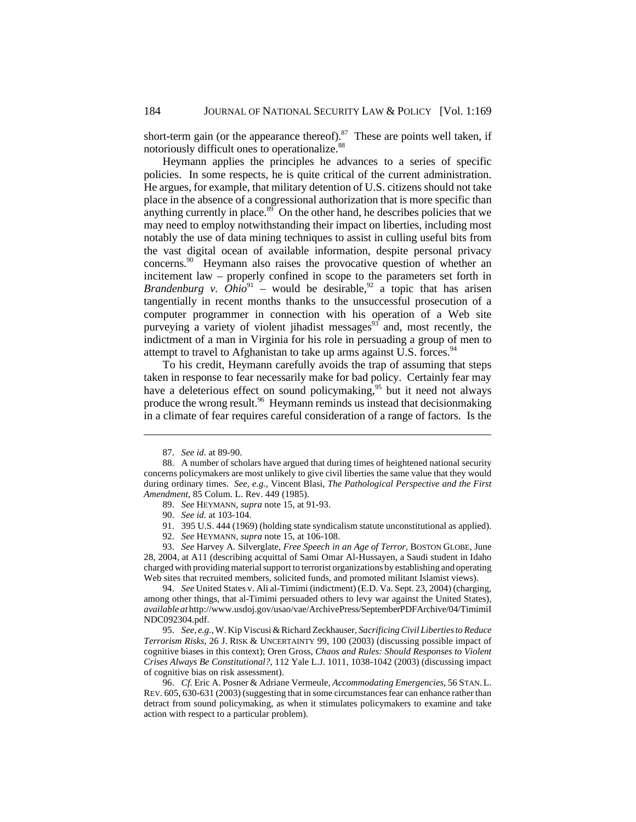short-term gain (or the appearance thereof). $87$  These are points well taken, if notoriously difficult ones to operationalize.<sup>88</sup>

Heymann applies the principles he advances to a series of specific policies. In some respects, he is quite critical of the current administration. He argues, for example, that military detention of U.S. citizens should not take place in the absence of a congressional authorization that is more specific than anything currently in place.<sup>89</sup> On the other hand, he describes policies that we may need to employ notwithstanding their impact on liberties, including most notably the use of data mining techniques to assist in culling useful bits from the vast digital ocean of available information, despite personal privacy concerns.<sup>90</sup> Heymann also raises the provocative question of whether an incitement law – properly confined in scope to the parameters set forth in *Brandenburg v.*  $Ohio^{91}$  *– would be desirable,<sup>92</sup> a topic that has arisen* tangentially in recent months thanks to the unsuccessful prosecution of a computer programmer in connection with his operation of a Web site purveying a variety of violent jihadist messages<sup>93</sup> and, most recently, the indictment of a man in Virginia for his role in persuading a group of men to attempt to travel to Afghanistan to take up arms against U.S. forces.<sup>94</sup>

To his credit, Heymann carefully avoids the trap of assuming that steps taken in response to fear necessarily make for bad policy. Certainly fear may have a deleterious effect on sound policymaking,  $95$  but it need not always produce the wrong result.<sup>96</sup> Heymann reminds us instead that decisionmaking in a climate of fear requires careful consideration of a range of factors. Is the

<sup>87.</sup> *See id.* at 89-90.

<sup>88.</sup> A number of scholars have argued that during times of heightened national security concerns policymakers are most unlikely to give civil liberties the same value that they would during ordinary times. *See, e.g.,* Vincent Blasi, *The Pathological Perspective and the First Amendment*, 85 Colum. L. Rev. 449 (1985).

<sup>89.</sup> *See* HEYMANN*, supra* note 15, at 91-93.

<sup>90.</sup> *See id.* at 103-104.

<sup>91. 395</sup> U.S. 444 (1969) (holding state syndicalism statute unconstitutional as applied).

<sup>92.</sup> *See* HEYMANN*, supra* note 15, at 106-108.

<sup>93.</sup> *See* Harvey A. Silverglate, *Free Speech in an Age of Terror*, BOSTON GLOBE, June 28, 2004, at A11 (describing acquittal of Sami Omar Al-Hussayen, a Saudi student in Idaho charged with providing material support to terrorist organizations by establishing and operating Web sites that recruited members, solicited funds, and promoted militant Islamist views).

<sup>94.</sup> *See* United States v. Ali al-Timimi (indictment) (E.D. Va. Sept. 23, 2004) (charging, among other things, that al-Timimi persuaded others to levy war against the United States), *available at* http://www.usdoj.gov/usao/vae/ArchivePress/SeptemberPDFArchive/04/TimimiI NDC092304.pdf.

<sup>95.</sup> *See, e.g.,* W. Kip Viscusi & Richard Zeckhauser, *Sacrificing Civil Liberties to Reduce Terrorism Risks*, 26 J. RISK & UNCERTAINTY 99, 100 (2003) (discussing possible impact of cognitive biases in this context); Oren Gross, *Chaos and Rules: Should Responses to Violent Crises Always Be Constitutional?*, 112 Yale L.J. 1011, 1038-1042 (2003) (discussing impact of cognitive bias on risk assessment).

<sup>96.</sup> *Cf.* Eric A. Posner & Adriane Vermeule, *Accommodating Emergencies*, 56 STAN.L. REV. 605, 630-631 (2003) (suggesting that in some circumstances fear can enhance rather than detract from sound policymaking, as when it stimulates policymakers to examine and take action with respect to a particular problem).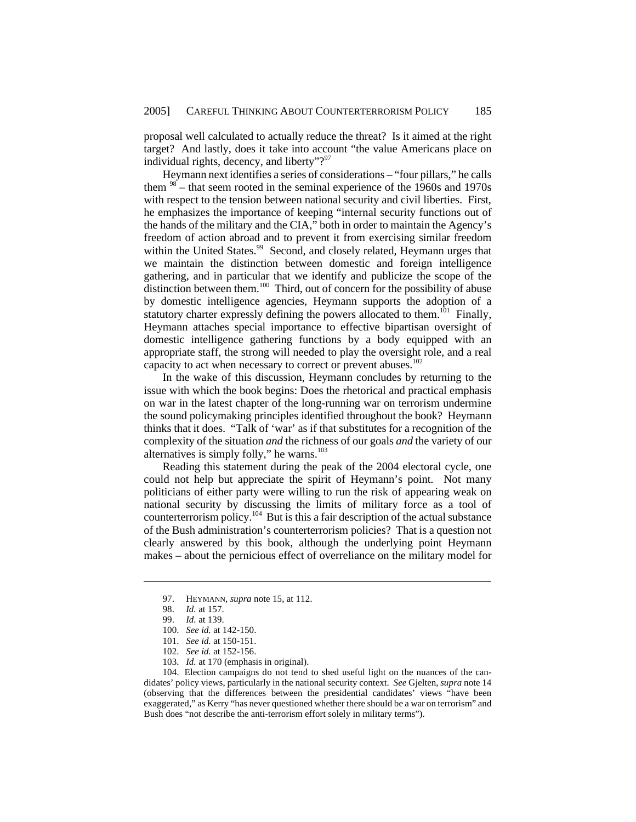proposal well calculated to actually reduce the threat? Is it aimed at the right target? And lastly, does it take into account "the value Americans place on individual rights, decency, and liberty"? $97$ 

Heymann next identifies a series of considerations – "four pillars," he calls them  $\frac{98}{1}$  – that seem rooted in the seminal experience of the 1960s and 1970s with respect to the tension between national security and civil liberties. First, he emphasizes the importance of keeping "internal security functions out of the hands of the military and the CIA," both in order to maintain the Agency's freedom of action abroad and to prevent it from exercising similar freedom within the United States.<sup>99</sup> Second, and closely related, Heymann urges that we maintain the distinction between domestic and foreign intelligence gathering, and in particular that we identify and publicize the scope of the distinction between them.<sup>100</sup> Third, out of concern for the possibility of abuse by domestic intelligence agencies, Heymann supports the adoption of a statutory charter expressly defining the powers allocated to them.<sup>101</sup> Finally, Heymann attaches special importance to effective bipartisan oversight of domestic intelligence gathering functions by a body equipped with an appropriate staff, the strong will needed to play the oversight role, and a real capacity to act when necessary to correct or prevent abuses.<sup>102</sup>

In the wake of this discussion, Heymann concludes by returning to the issue with which the book begins: Does the rhetorical and practical emphasis on war in the latest chapter of the long-running war on terrorism undermine the sound policymaking principles identified throughout the book? Heymann thinks that it does. "Talk of 'war' as if that substitutes for a recognition of the complexity of the situation *and* the richness of our goals *and* the variety of our alternatives is simply folly," he warns. $103$ 

Reading this statement during the peak of the 2004 electoral cycle, one could not help but appreciate the spirit of Heymann's point. Not many politicians of either party were willing to run the risk of appearing weak on national security by discussing the limits of military force as a tool of counterterrorism policy.<sup>104</sup> But is this a fair description of the actual substance of the Bush administration's counterterrorism policies? That is a question not clearly answered by this book, although the underlying point Heymann makes – about the pernicious effect of overreliance on the military model for

103. *Id.* at 170 (emphasis in original).

104. Election campaigns do not tend to shed useful light on the nuances of the candidates' policy views, particularly in the national security context. *See* Gjelten, *supra* note 14 (observing that the differences between the presidential candidates' views "have been exaggerated," as Kerry "has never questioned whether there should be a war on terrorism" and Bush does "not describe the anti-terrorism effort solely in military terms").

<sup>97.</sup> HEYMANN*, supra* note 15, at 112.

*Id.* at 157.

<sup>99.</sup> *Id.* at 139.

<sup>100.</sup> *See id.* at 142-150.

<sup>101.</sup> *See id.* at 150-151.

<sup>102.</sup> *See id.* at 152-156.